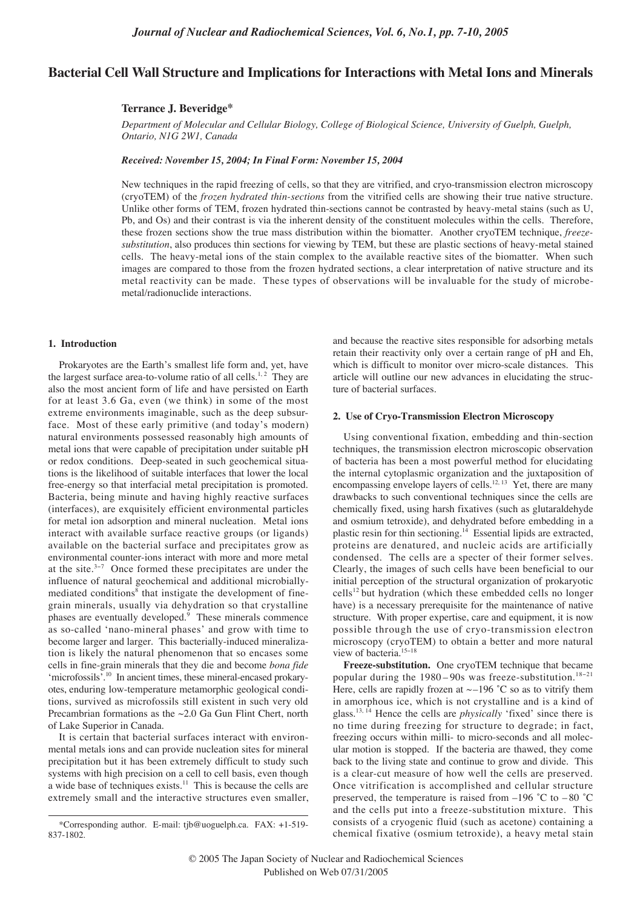# **Bacterial Cell Wall Structure and Implications for Interactions with Metal Ions and Minerals**

#### **Terrance J. Beveridge\***

*Department of Molecular and Cellular Biology, College of Biological Science, University of Guelph, Guelph, Ontario, N1G 2W1, Canada* 

*Received: November 15, 2004; In Final Form: November 15, 2004*

New techniques in the rapid freezing of cells, so that they are vitrified, and cryo-transmission electron microscopy (cryoTEM) of the *frozen hydrated thin-sections* from the vitrified cells are showing their true native structure. Unlike other forms of TEM, frozen hydrated thin-sections cannot be contrasted by heavy-metal stains (such as U, Pb, and Os) and their contrast is via the inherent density of the constituent molecules within the cells. Therefore, these frozen sections show the true mass distribution within the biomatter. Another cryoTEM technique, *freezesubstitution*, also produces thin sections for viewing by TEM, but these are plastic sections of heavy-metal stained cells. The heavy-metal ions of the stain complex to the available reactive sites of the biomatter. When such images are compared to those from the frozen hydrated sections, a clear interpretation of native structure and its metal reactivity can be made. These types of observations will be invaluable for the study of microbemetal/radionuclide interactions.

### **1. Introduction**

Prokaryotes are the Earth's smallest life form and, yet, have the largest surface area-to-volume ratio of all cells.<sup>1, 2</sup> They are also the most ancient form of life and have persisted on Earth for at least 3.6 Ga, even (we think) in some of the most extreme environments imaginable, such as the deep subsurface. Most of these early primitive (and today's modern) natural environments possessed reasonably high amounts of metal ions that were capable of precipitation under suitable pH or redox conditions. Deep-seated in such geochemical situations is the likelihood of suitable interfaces that lower the local free-energy so that interfacial metal precipitation is promoted. Bacteria, being minute and having highly reactive surfaces (interfaces), are exquisitely efficient environmental particles for metal ion adsorption and mineral nucleation. Metal ions interact with available surface reactive groups (or ligands) available on the bacterial surface and precipitates grow as environmental counter-ions interact with more and more metal at the site.3−<sup>7</sup> Once formed these precipitates are under the influence of natural geochemical and additional microbiallymediated conditions<sup>8</sup> that instigate the development of finegrain minerals, usually via dehydration so that crystalline phases are eventually developed.<sup> $\delta$ </sup> These minerals commence as so-called 'nano-mineral phases' and grow with time to become larger and larger. This bacterially-induced mineralization is likely the natural phenomenon that so encases some cells in fine-grain minerals that they die and become *bona fide* 'microfossils'.<sup>10</sup> In ancient times, these mineral-encased prokaryotes, enduring low-temperature metamorphic geological conditions, survived as microfossils still existent in such very old Precambrian formations as the ~2.0 Ga Gun Flint Chert, north of Lake Superior in Canada.

It is certain that bacterial surfaces interact with environmental metals ions and can provide nucleation sites for mineral precipitation but it has been extremely difficult to study such systems with high precision on a cell to cell basis, even though a wide base of techniques exists.<sup>11</sup> This is because the cells are extremely small and the interactive structures even smaller, and because the reactive sites responsible for adsorbing metals retain their reactivity only over a certain range of pH and Eh, which is difficult to monitor over micro-scale distances. This article will outline our new advances in elucidating the structure of bacterial surfaces.

# **2. Use of Cryo-Transmission Electron Microscopy**

Using conventional fixation, embedding and thin-section techniques, the transmission electron microscopic observation of bacteria has been a most powerful method for elucidating the internal cytoplasmic organization and the juxtaposition of encompassing envelope layers of cells.<sup>12, 13</sup> Yet, there are many drawbacks to such conventional techniques since the cells are chemically fixed, using harsh fixatives (such as glutaraldehyde and osmium tetroxide), and dehydrated before embedding in a plastic resin for thin sectioning.<sup>14</sup> Essential lipids are extracted, proteins are denatured, and nucleic acids are artificially condensed. The cells are a specter of their former selves. Clearly, the images of such cells have been beneficial to our initial perception of the structural organization of prokaryotic  $\text{cells}^{12}$  but hydration (which these embedded cells no longer have) is a necessary prerequisite for the maintenance of native structure. With proper expertise, care and equipment, it is now possible through the use of cryo-transmission electron microscopy (cryoTEM) to obtain a better and more natural view of bacteria.<sup>15-18</sup>

**Freeze-substitution.** One cryoTEM technique that became popular during the  $1980 - 90s$  was freeze-substitution.<sup>18-21</sup> Here, cells are rapidly frozen at  $\sim$  -196 °C so as to vitrify them in amorphous ice, which is not crystalline and is a kind of glass.13, 14 Hence the cells are *physically* 'fixed' since there is no time during freezing for structure to degrade; in fact, freezing occurs within milli- to micro-seconds and all molecular motion is stopped. If the bacteria are thawed, they come back to the living state and continue to grow and divide. This is a clear-cut measure of how well the cells are preserved. Once vitrification is accomplished and cellular structure preserved, the temperature is raised from  $-196$  °C to  $-80$  °C and the cells put into a freeze-substitution mixture. This consists of a cryogenic fluid (such as acetone) containing a chemical fixative (osmium tetroxide), a heavy metal stain

<sup>\*</sup>Corresponding author. E-mail: tjb@uoguelph.ca. FAX: +1-519- 837-1802.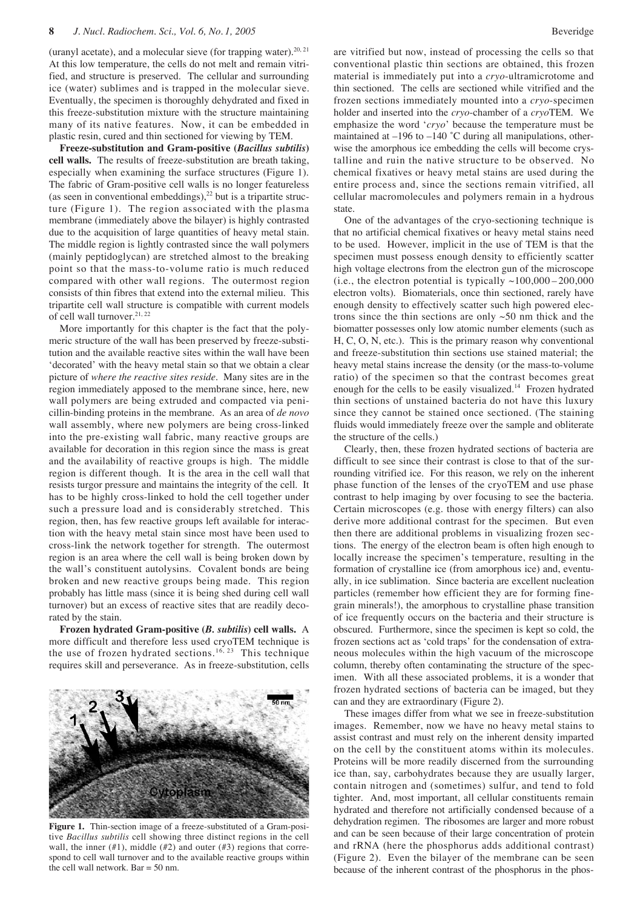(uranyl acetate), and a molecular sieve (for trapping water). $20, 21$ At this low temperature, the cells do not melt and remain vitrified, and structure is preserved. The cellular and surrounding ice (water) sublimes and is trapped in the molecular sieve. Eventually, the specimen is thoroughly dehydrated and fixed in this freeze-substitution mixture with the structure maintaining many of its native features. Now, it can be embedded in plastic resin, cured and thin sectioned for viewing by TEM.

**Freeze-substitution and Gram-positive (***Bacillus subtilis***) cell walls.** The results of freeze-substitution are breath taking, especially when examining the surface structures (Figure 1). The fabric of Gram-positive cell walls is no longer featureless (as seen in conventional embeddings),  $^{22}$  but is a tripartite structure (Figure 1). The region associated with the plasma membrane (immediately above the bilayer) is highly contrasted due to the acquisition of large quantities of heavy metal stain. The middle region is lightly contrasted since the wall polymers (mainly peptidoglycan) are stretched almost to the breaking point so that the mass-to-volume ratio is much reduced compared with other wall regions. The outermost region consists of thin fibres that extend into the external milieu. This tripartite cell wall structure is compatible with current models of cell wall turnover.<sup>21, 22</sup>

More importantly for this chapter is the fact that the polymeric structure of the wall has been preserved by freeze-substitution and the available reactive sites within the wall have been 'decorated' with the heavy metal stain so that we obtain a clear picture of *where the reactive sites reside*. Many sites are in the region immediately apposed to the membrane since, here, new wall polymers are being extruded and compacted via penicillin-binding proteins in the membrane. As an area of *de novo* wall assembly, where new polymers are being cross-linked into the pre-existing wall fabric, many reactive groups are available for decoration in this region since the mass is great and the availability of reactive groups is high. The middle region is different though. It is the area in the cell wall that resists turgor pressure and maintains the integrity of the cell. It has to be highly cross-linked to hold the cell together under such a pressure load and is considerably stretched. This region, then, has few reactive groups left available for interaction with the heavy metal stain since most have been used to cross-link the network together for strength. The outermost region is an area where the cell wall is being broken down by the wall's constituent autolysins. Covalent bonds are being broken and new reactive groups being made. This region probably has little mass (since it is being shed during cell wall turnover) but an excess of reactive sites that are readily decorated by the stain.

**Frozen hydrated Gram-positive (***B. subtilis***) cell walls.** A more difficult and therefore less used cryoTEM technique is the use of frozen hydrated sections.<sup>16, 23</sup> This technique requires skill and perseverance. As in freeze-substitution, cells



Figure 1. Thin-section image of a freeze-substituted of a Gram-positive *Bacillus subtilis* cell showing three distinct regions in the cell wall, the inner  $(41)$ , middle  $(42)$  and outer  $(43)$  regions that correspond to cell wall turnover and to the available reactive groups within the cell wall network. Bar = 50 nm.

are vitrified but now, instead of processing the cells so that conventional plastic thin sections are obtained, this frozen material is immediately put into a *cryo*-ultramicrotome and thin sectioned. The cells are sectioned while vitrified and the frozen sections immediately mounted into a *cryo*-specimen holder and inserted into the *cryo*-chamber of a *cryo*TEM. We emphasize the word '*cryo*' because the temperature must be maintained at  $-196$  to  $-140$  °C during all manipulations, otherwise the amorphous ice embedding the cells will become crystalline and ruin the native structure to be observed. No chemical fixatives or heavy metal stains are used during the entire process and, since the sections remain vitrified, all cellular macromolecules and polymers remain in a hydrous state.

One of the advantages of the cryo-sectioning technique is that no artificial chemical fixatives or heavy metal stains need to be used. However, implicit in the use of TEM is that the specimen must possess enough density to efficiently scatter high voltage electrons from the electron gun of the microscope (i.e., the electron potential is typically  $\sim$ 100,000 – 200,000 electron volts). Biomaterials, once thin sectioned, rarely have enough density to effectively scatter such high powered electrons since the thin sections are only  $\sim$  50 nm thick and the biomatter possesses only low atomic number elements (such as H, C, O, N, etc.). This is the primary reason why conventional and freeze-substitution thin sections use stained material; the heavy metal stains increase the density (or the mass-to-volume ratio) of the specimen so that the contrast becomes great enough for the cells to be easily visualized.<sup>14</sup> Frozen hydrated thin sections of unstained bacteria do not have this luxury since they cannot be stained once sectioned. (The staining fluids would immediately freeze over the sample and obliterate the structure of the cells.)

Clearly, then, these frozen hydrated sections of bacteria are difficult to see since their contrast is close to that of the surrounding vitrified ice. For this reason, we rely on the inherent phase function of the lenses of the cryoTEM and use phase contrast to help imaging by over focusing to see the bacteria. Certain microscopes (e.g. those with energy filters) can also derive more additional contrast for the specimen. But even then there are additional problems in visualizing frozen sections. The energy of the electron beam is often high enough to locally increase the specimen's temperature, resulting in the formation of crystalline ice (from amorphous ice) and, eventually, in ice sublimation. Since bacteria are excellent nucleation particles (remember how efficient they are for forming finegrain minerals!), the amorphous to crystalline phase transition of ice frequently occurs on the bacteria and their structure is obscured. Furthermore, since the specimen is kept so cold, the frozen sections act as 'cold traps' for the condensation of extraneous molecules within the high vacuum of the microscope column, thereby often contaminating the structure of the specimen. With all these associated problems, it is a wonder that frozen hydrated sections of bacteria can be imaged, but they can and they are extraordinary (Figure 2).

These images differ from what we see in freeze-substitution images. Remember, now we have no heavy metal stains to assist contrast and must rely on the inherent density imparted on the cell by the constituent atoms within its molecules. Proteins will be more readily discerned from the surrounding ice than, say, carbohydrates because they are usually larger, contain nitrogen and (sometimes) sulfur, and tend to fold tighter. And, most important, all cellular constituents remain hydrated and therefore not artificially condensed because of a dehydration regimen. The ribosomes are larger and more robust and can be seen because of their large concentration of protein and rRNA (here the phosphorus adds additional contrast) (Figure 2). Even the bilayer of the membrane can be seen because of the inherent contrast of the phosphorus in the phos-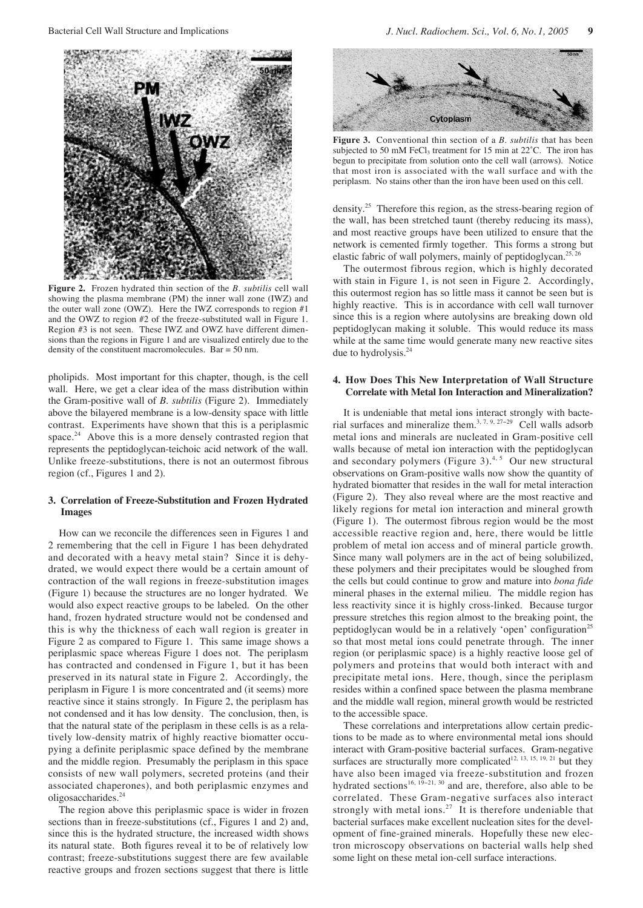

**Figure 2.** Frozen hydrated thin section of the *B. subtilis* cell wall showing the plasma membrane (PM) the inner wall zone (IWZ) and the outer wall zone (OWZ). Here the IWZ corresponds to region #1 and the OWZ to region #2 of the freeze-substituted wall in Figure 1. Region #3 is not seen. These IWZ and OWZ have different dimensions than the regions in Figure 1 and are visualized entirely due to the density of the constituent macromolecules. Bar = 50 nm.

pholipids. Most important for this chapter, though, is the cell wall. Here, we get a clear idea of the mass distribution within the Gram-positive wall of *B. subtilis* (Figure 2). Immediately above the bilayered membrane is a low-density space with little contrast. Experiments have shown that this is a periplasmic space.<sup>24</sup> Above this is a more densely contrasted region that represents the peptidoglycan-teichoic acid network of the wall. Unlike freeze-substitutions, there is not an outermost fibrous region (cf., Figures 1 and 2).

## **3. Correlation of Freeze-Substitution and Frozen Hydrated Images**

How can we reconcile the differences seen in Figures 1 and 2 remembering that the cell in Figure 1 has been dehydrated and decorated with a heavy metal stain? Since it is dehydrated, we would expect there would be a certain amount of contraction of the wall regions in freeze-substitution images (Figure 1) because the structures are no longer hydrated. We would also expect reactive groups to be labeled. On the other hand, frozen hydrated structure would not be condensed and this is why the thickness of each wall region is greater in Figure 2 as compared to Figure 1. This same image shows a periplasmic space whereas Figure 1 does not. The periplasm has contracted and condensed in Figure 1, but it has been preserved in its natural state in Figure 2. Accordingly, the periplasm in Figure 1 is more concentrated and (it seems) more reactive since it stains strongly. In Figure 2, the periplasm has not condensed and it has low density. The conclusion, then, is that the natural state of the periplasm in these cells is as a relatively low-density matrix of highly reactive biomatter occupying a definite periplasmic space defined by the membrane and the middle region. Presumably the periplasm in this space consists of new wall polymers, secreted proteins (and their associated chaperones), and both periplasmic enzymes and oligosaccharides.24

The region above this periplasmic space is wider in frozen sections than in freeze-substitutions (cf., Figures 1 and 2) and, since this is the hydrated structure, the increased width shows its natural state. Both figures reveal it to be of relatively low contrast; freeze-substitutions suggest there are few available reactive groups and frozen sections suggest that there is little



**Figure 3.** Conventional thin section of a *B. subtilis* that has been subjected to 50 mM FeCl<sub>3</sub> treatment for 15 min at  $22^{\circ}$ C. The iron has begun to precipitate from solution onto the cell wall (arrows). Notice that most iron is associated with the wall surface and with the periplasm. No stains other than the iron have been used on this cell.

density.<sup>25</sup> Therefore this region, as the stress-bearing region of the wall, has been stretched taunt (thereby reducing its mass), and most reactive groups have been utilized to ensure that the network is cemented firmly together. This forms a strong but elastic fabric of wall polymers, mainly of peptidoglycan.<sup>25, 26</sup>

The outermost fibrous region, which is highly decorated with stain in Figure 1, is not seen in Figure 2. Accordingly, this outermost region has so little mass it cannot be seen but is highly reactive. This is in accordance with cell wall turnover since this is a region where autolysins are breaking down old peptidoglycan making it soluble. This would reduce its mass while at the same time would generate many new reactive sites due to hydrolysis.24

### **4. How Does This New Interpretation of Wall Structure Correlate with Metal Ion Interaction and Mineralization?**

It is undeniable that metal ions interact strongly with bacterial surfaces and mineralize them.3, 7, 9, 27−<sup>29</sup> Cell walls adsorb metal ions and minerals are nucleated in Gram-positive cell walls because of metal ion interaction with the peptidoglycan and secondary polymers (Figure 3).<sup>4, 5</sup> Our new structural observations on Gram-positive walls now show the quantity of hydrated biomatter that resides in the wall for metal interaction (Figure 2). They also reveal where are the most reactive and likely regions for metal ion interaction and mineral growth (Figure 1). The outermost fibrous region would be the most accessible reactive region and, here, there would be little problem of metal ion access and of mineral particle growth. Since many wall polymers are in the act of being solubilized, these polymers and their precipitates would be sloughed from the cells but could continue to grow and mature into *bona fide* mineral phases in the external milieu. The middle region has less reactivity since it is highly cross-linked. Because turgor pressure stretches this region almost to the breaking point, the peptidoglycan would be in a relatively 'open' configuration<sup>25</sup> so that most metal ions could penetrate through. The inner region (or periplasmic space) is a highly reactive loose gel of polymers and proteins that would both interact with and precipitate metal ions. Here, though, since the periplasm resides within a confined space between the plasma membrane and the middle wall region, mineral growth would be restricted to the accessible space.

These correlations and interpretations allow certain predictions to be made as to where environmental metal ions should interact with Gram-positive bacterial surfaces. Gram-negative surfaces are structurally more complicated<sup>12, 13, 15, 19, 21</sup> but they have also been imaged via freeze-substitution and frozen hydrated sections<sup>16, 19</sup>-21, 30 and are, therefore, also able to be correlated. These Gram-negative surfaces also interact strongly with metal ions.<sup>27</sup> It is therefore undeniable that bacterial surfaces make excellent nucleation sites for the development of fine-grained minerals. Hopefully these new electron microscopy observations on bacterial walls help shed some light on these metal ion-cell surface interactions.